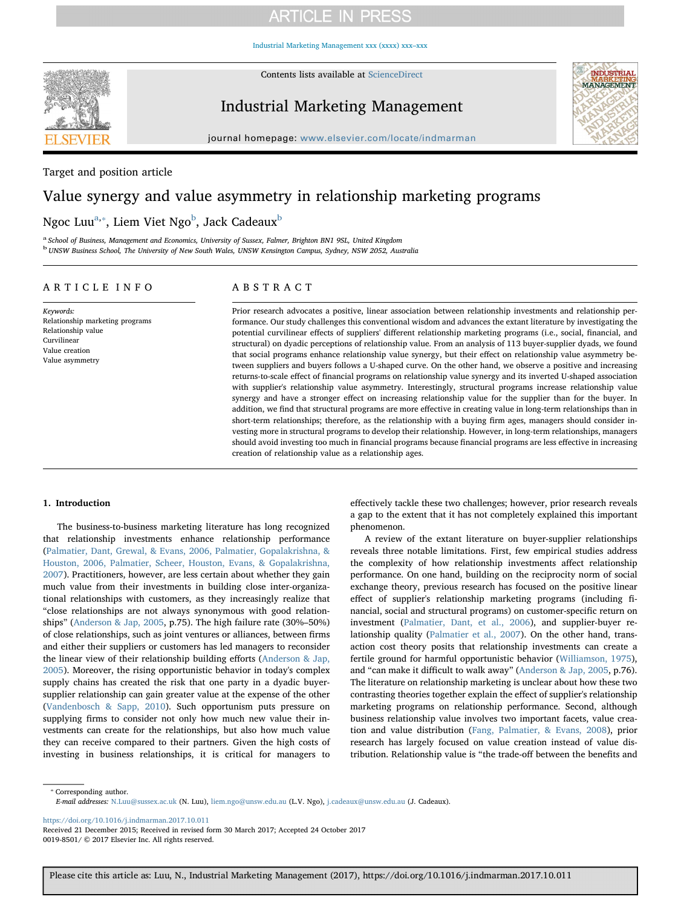[Industrial Marketing Management xxx \(xxxx\) xxx–xxx](https://doi.org/10.1016/j.indmarman.2017.10.011)



Contents lists available at [ScienceDirect](http://www.sciencedirect.com/science/journal/00198501)

## Industrial Marketing Management



journal homepage: [www.elsevier.com/locate/indmarman](https://www.elsevier.com/locate/indmarman)

Target and position article

# Value synergy and value asymmetry in relationship marketing programs

Ngoc Luu $^{\mathrm{a},*}$ , Liem Viet Ngo $^{\mathrm{b}}$  $^{\mathrm{b}}$  $^{\mathrm{b}}$ , Jack Cadeaux $^{\mathrm{b}}$ 

<span id="page-0-2"></span><span id="page-0-0"></span>a School of Business, Management and Economics, University of Sussex, Falmer, Brighton BN1 9SL, United Kingdom <sup>b</sup> UNSW Business School, The University of New South Wales, UNSW Kensington Campus, Sydney, NSW 2052, Australia

#### ARTICLE INFO

Keywords: Relationship marketing programs Relationship value Curvilinear Value creation Value asymmetry

### ABSTRACT

Prior research advocates a positive, linear association between relationship investments and relationship performance. Our study challenges this conventional wisdom and advances the extant literature by investigating the potential curvilinear effects of suppliers' different relationship marketing programs (i.e., social, financial, and structural) on dyadic perceptions of relationship value. From an analysis of 113 buyer-supplier dyads, we found that social programs enhance relationship value synergy, but their effect on relationship value asymmetry between suppliers and buyers follows a U-shaped curve. On the other hand, we observe a positive and increasing returns-to-scale effect of financial programs on relationship value synergy and its inverted U-shaped association with supplier's relationship value asymmetry. Interestingly, structural programs increase relationship value synergy and have a stronger effect on increasing relationship value for the supplier than for the buyer. In addition, we find that structural programs are more effective in creating value in long-term relationships than in short-term relationships; therefore, as the relationship with a buying firm ages, managers should consider investing more in structural programs to develop their relationship. However, in long-term relationships, managers should avoid investing too much in financial programs because financial programs are less effective in increasing creation of relationship value as a relationship ages.

#### 1. Introduction

The business-to-business marketing literature has long recognized that relationship investments enhance relationship performance ([Palmatier, Dant, Grewal, & Evans, 2006, Palmatier, Gopalakrishna, &](#page-11-0) [Houston, 2006, Palmatier, Scheer, Houston, Evans, & Gopalakrishna,](#page-11-0) [2007\)](#page-11-0). Practitioners, however, are less certain about whether they gain much value from their investments in building close inter-organizational relationships with customers, as they increasingly realize that "close relationships are not always synonymous with good relationships" [\(Anderson & Jap, 2005](#page-10-0), p.75). The high failure rate (30%–50%) of close relationships, such as joint ventures or alliances, between firms and either their suppliers or customers has led managers to reconsider the linear view of their relationship building efforts [\(Anderson & Jap,](#page-10-0) [2005\)](#page-10-0). Moreover, the rising opportunistic behavior in today's complex supply chains has created the risk that one party in a dyadic buyersupplier relationship can gain greater value at the expense of the other ([Vandenbosch & Sapp, 2010\)](#page-11-1). Such opportunism puts pressure on supplying firms to consider not only how much new value their investments can create for the relationships, but also how much value they can receive compared to their partners. Given the high costs of investing in business relationships, it is critical for managers to effectively tackle these two challenges; however, prior research reveals a gap to the extent that it has not completely explained this important phenomenon.

A review of the extant literature on buyer-supplier relationships reveals three notable limitations. First, few empirical studies address the complexity of how relationship investments affect relationship performance. On one hand, building on the reciprocity norm of social exchange theory, previous research has focused on the positive linear effect of supplier's relationship marketing programs (including financial, social and structural programs) on customer-specific return on investment [\(Palmatier, Dant, et al., 2006\)](#page-11-0), and supplier-buyer relationship quality ([Palmatier et al., 2007\)](#page-11-2). On the other hand, transaction cost theory posits that relationship investments can create a fertile ground for harmful opportunistic behavior [\(Williamson, 1975](#page-11-3)), and "can make it difficult to walk away" [\(Anderson & Jap, 2005](#page-10-0), p.76). The literature on relationship marketing is unclear about how these two contrasting theories together explain the effect of supplier's relationship marketing programs on relationship performance. Second, although business relationship value involves two important facets, value creation and value distribution [\(Fang, Palmatier, & Evans, 2008\)](#page-11-4), prior research has largely focused on value creation instead of value distribution. Relationship value is "the trade-off between the benefits and

<span id="page-0-1"></span>⁎ Corresponding author. E-mail addresses: [N.Luu@sussex.ac.uk](mailto:N.Luu@sussex.ac.uk) (N. Luu), [liem.ngo@unsw.edu.au](mailto:liem.ngo@unsw.edu.au) (L.V. Ngo), [j.cadeaux@unsw.edu.au](mailto:j.cadeaux@unsw.edu.au) (J. Cadeaux).

<https://doi.org/10.1016/j.indmarman.2017.10.011>

Received 21 December 2015; Received in revised form 30 March 2017; Accepted 24 October 2017 0019-8501/ © 2017 Elsevier Inc. All rights reserved.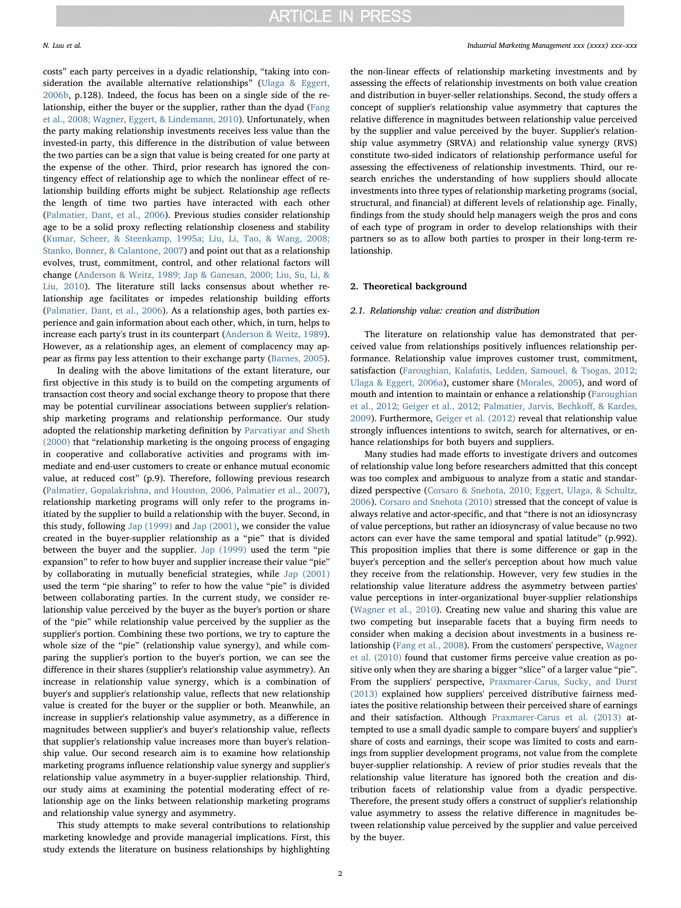costs" each party perceives in a dyadic relationship, "taking into consideration the available alternative relationships" ([Ulaga & Eggert,](#page-11-5) [2006b,](#page-11-5) p.128). Indeed, the focus has been on a single side of the relationship, either the buyer or the supplier, rather than the dyad ([Fang](#page-11-4) [et al., 2008; Wagner, Eggert, & Lindemann, 2010\)](#page-11-4). Unfortunately, when the party making relationship investments receives less value than the invested-in party, this difference in the distribution of value between the two parties can be a sign that value is being created for one party at the expense of the other. Third, prior research has ignored the contingency effect of relationship age to which the nonlinear effect of relationship building efforts might be subject. Relationship age reflects the length of time two parties have interacted with each other ([Palmatier, Dant, et al., 2006](#page-11-0)). Previous studies consider relationship age to be a solid proxy reflecting relationship closeness and stability ([Kumar, Scheer, & Steenkamp, 1995a; Liu, Li, Tao, & Wang, 2008;](#page-11-6) [Stanko, Bonner, & Calantone, 2007\)](#page-11-6) and point out that as a relationship evolves, trust, commitment, control, and other relational factors will change [\(Anderson & Weitz, 1989; Jap & Ganesan, 2000; Liu, Su, Li, &](#page-10-1) [Liu, 2010\)](#page-10-1). The literature still lacks consensus about whether relationship age facilitates or impedes relationship building efforts ([Palmatier, Dant, et al., 2006](#page-11-0)). As a relationship ages, both parties experience and gain information about each other, which, in turn, helps to increase each party's trust in its counterpart [\(Anderson & Weitz, 1989](#page-10-1)). However, as a relationship ages, an element of complacency may appear as firms pay less attention to their exchange party [\(Barnes, 2005](#page-10-2)).

In dealing with the above limitations of the extant literature, our first objective in this study is to build on the competing arguments of transaction cost theory and social exchange theory to propose that there may be potential curvilinear associations between supplier's relationship marketing programs and relationship performance. Our study adopted the relationship marketing definition by [Parvatiyar and Sheth](#page-11-7) [\(2000\)](#page-11-7) that "relationship marketing is the ongoing process of engaging in cooperative and collaborative activities and programs with immediate and end-user customers to create or enhance mutual economic value, at reduced cost" (p.9). Therefore, following previous research ([Palmatier, Gopalakrishna, and Houston, 2006, Palmatier et al., 2007](#page-11-8)), relationship marketing programs will only refer to the programs initiated by the supplier to build a relationship with the buyer. Second, in this study, following [Jap \(1999\)](#page-11-9) and [Jap \(2001\)](#page-11-10), we consider the value created in the buyer-supplier relationship as a "pie" that is divided between the buyer and the supplier. [Jap \(1999\)](#page-11-9) used the term "pie expansion" to refer to how buyer and supplier increase their value "pie" by collaborating in mutually beneficial strategies, while [Jap \(2001\)](#page-11-10) used the term "pie sharing" to refer to how the value "pie" is divided between collaborating parties. In the current study, we consider relationship value perceived by the buyer as the buyer's portion or share of the "pie" while relationship value perceived by the supplier as the supplier's portion. Combining these two portions, we try to capture the whole size of the "pie" (relationship value synergy), and while comparing the supplier's portion to the buyer's portion, we can see the difference in their shares (supplier's relationship value asymmetry). An increase in relationship value synergy, which is a combination of buyer's and supplier's relationship value, reflects that new relationship value is created for the buyer or the supplier or both. Meanwhile, an increase in supplier's relationship value asymmetry, as a difference in magnitudes between supplier's and buyer's relationship value, reflects that supplier's relationship value increases more than buyer's relationship value. Our second research aim is to examine how relationship marketing programs influence relationship value synergy and supplier's relationship value asymmetry in a buyer-supplier relationship. Third, our study aims at examining the potential moderating effect of relationship age on the links between relationship marketing programs and relationship value synergy and asymmetry.

This study attempts to make several contributions to relationship marketing knowledge and provide managerial implications. First, this study extends the literature on business relationships by highlighting the non-linear effects of relationship marketing investments and by assessing the effects of relationship investments on both value creation and distribution in buyer-seller relationships. Second, the study offers a concept of supplier's relationship value asymmetry that captures the relative difference in magnitudes between relationship value perceived by the supplier and value perceived by the buyer. Supplier's relationship value asymmetry (SRVA) and relationship value synergy (RVS) constitute two-sided indicators of relationship performance useful for assessing the effectiveness of relationship investments. Third, our research enriches the understanding of how suppliers should allocate investments into three types of relationship marketing programs (social, structural, and financial) at different levels of relationship age. Finally, findings from the study should help managers weigh the pros and cons of each type of program in order to develop relationships with their partners so as to allow both parties to prosper in their long-term relationship.

#### 2. Theoretical background

#### 2.1. Relationship value: creation and distribution

The literature on relationship value has demonstrated that perceived value from relationships positively influences relationship performance. Relationship value improves customer trust, commitment, satisfaction ([Faroughian, Kalafatis, Ledden, Samouel, & Tsogas, 2012;](#page-11-11) [Ulaga & Eggert, 2006a\)](#page-11-11), customer share [\(Morales, 2005](#page-11-12)), and word of mouth and intention to maintain or enhance a relationship ([Faroughian](#page-11-11) [et al., 2012; Geiger et al., 2012; Palmatier, Jarvis, Bechko](#page-11-11)ff, & Kardes, [2009\)](#page-11-11). Furthermore, [Geiger et al. \(2012\)](#page-11-13) reveal that relationship value strongly influences intentions to switch, search for alternatives, or enhance relationships for both buyers and suppliers.

Many studies had made efforts to investigate drivers and outcomes of relationship value long before researchers admitted that this concept was too complex and ambiguous to analyze from a static and standardized perspective [\(Corsaro & Snehota, 2010; Eggert, Ulaga, & Schultz,](#page-10-3) [2006\)](#page-10-3). [Corsaro and Snehota \(2010\)](#page-10-3) stressed that the concept of value is always relative and actor-specific, and that "there is not an idiosyncrasy of value perceptions, but rather an idiosyncrasy of value because no two actors can ever have the same temporal and spatial latitude" (p.992). This proposition implies that there is some difference or gap in the buyer's perception and the seller's perception about how much value they receive from the relationship. However, very few studies in the relationship value literature address the asymmetry between parties' value perceptions in inter-organizational buyer-supplier relationships ([Wagner et al., 2010\)](#page-11-14). Creating new value and sharing this value are two competing but inseparable facets that a buying firm needs to consider when making a decision about investments in a business relationship ([Fang et al., 2008\)](#page-11-4). From the customers' perspective, [Wagner](#page-11-14) [et al. \(2010\)](#page-11-14) found that customer firms perceive value creation as positive only when they are sharing a bigger "slice" of a larger value "pie". From the suppliers' perspective, [Praxmarer-Carus, Sucky, and Durst](#page-11-15) [\(2013\)](#page-11-15) explained how suppliers' perceived distributive fairness mediates the positive relationship between their perceived share of earnings and their satisfaction. Although [Praxmarer-Carus et al. \(2013\)](#page-11-15) attempted to use a small dyadic sample to compare buyers' and supplier's share of costs and earnings, their scope was limited to costs and earnings from supplier development programs, not value from the complete buyer-supplier relationship. A review of prior studies reveals that the relationship value literature has ignored both the creation and distribution facets of relationship value from a dyadic perspective. Therefore, the present study offers a construct of supplier's relationship value asymmetry to assess the relative difference in magnitudes between relationship value perceived by the supplier and value perceived by the buyer.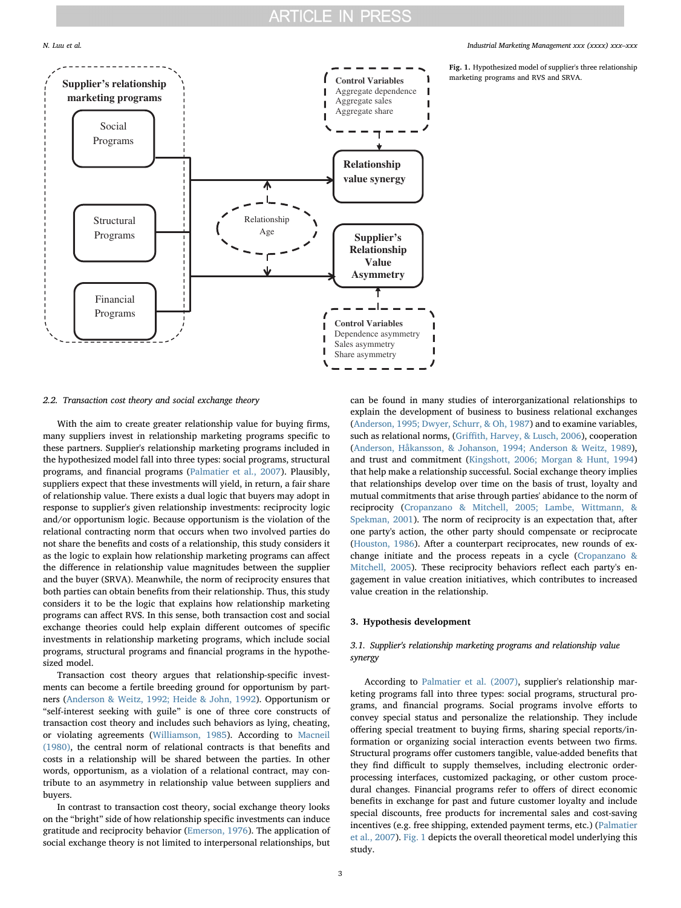<span id="page-2-0"></span>

#### N. Luu et al. *Industrial Marketing Management xxx (xxxx) xxx–xxx*

Fig. 1. Hypothesized model of supplier's three relationship marketing programs and RVS and SRVA.

#### 2.2. Transaction cost theory and social exchange theory

With the aim to create greater relationship value for buying firms, many suppliers invest in relationship marketing programs specific to these partners. Supplier's relationship marketing programs included in the hypothesized model fall into three types: social programs, structural programs, and financial programs [\(Palmatier et al., 2007\)](#page-11-2). Plausibly, suppliers expect that these investments will yield, in return, a fair share of relationship value. There exists a dual logic that buyers may adopt in response to supplier's given relationship investments: reciprocity logic and/or opportunism logic. Because opportunism is the violation of the relational contracting norm that occurs when two involved parties do not share the benefits and costs of a relationship, this study considers it as the logic to explain how relationship marketing programs can affect the difference in relationship value magnitudes between the supplier and the buyer (SRVA). Meanwhile, the norm of reciprocity ensures that both parties can obtain benefits from their relationship. Thus, this study considers it to be the logic that explains how relationship marketing programs can affect RVS. In this sense, both transaction cost and social exchange theories could help explain different outcomes of specific investments in relationship marketing programs, which include social programs, structural programs and financial programs in the hypothesized model.

Transaction cost theory argues that relationship-specific investments can become a fertile breeding ground for opportunism by partners [\(Anderson & Weitz, 1992; Heide & John, 1992\)](#page-10-4). Opportunism or "self-interest seeking with guile" is one of three core constructs of transaction cost theory and includes such behaviors as lying, cheating, or violating agreements ([Williamson, 1985](#page-11-16)). According to [Macneil](#page-11-17) [\(1980\),](#page-11-17) the central norm of relational contracts is that benefits and costs in a relationship will be shared between the parties. In other words, opportunism, as a violation of a relational contract, may contribute to an asymmetry in relationship value between suppliers and buyers.

In contrast to transaction cost theory, social exchange theory looks on the "bright" side of how relationship specific investments can induce gratitude and reciprocity behavior [\(Emerson, 1976\)](#page-10-5). The application of social exchange theory is not limited to interpersonal relationships, but can be found in many studies of interorganizational relationships to explain the development of business to business relational exchanges ([Anderson, 1995; Dwyer, Schurr, & Oh, 1987](#page-10-6)) and to examine variables, such as relational norms, (Griffi[th, Harvey, & Lusch, 2006\)](#page-11-18), cooperation ([Anderson, Håkansson, & Johanson, 1994; Anderson & Weitz, 1989](#page-10-7)), and trust and commitment ([Kingshott, 2006; Morgan & Hunt, 1994\)](#page-11-19) that help make a relationship successful. Social exchange theory implies that relationships develop over time on the basis of trust, loyalty and mutual commitments that arise through parties' abidance to the norm of reciprocity (Cropanzano [& Mitchell, 2005; Lambe, Wittmann, &](#page-10-8) [Spekman, 2001\)](#page-10-8). The norm of reciprocity is an expectation that, after one party's action, the other party should compensate or reciprocate ([Houston, 1986\)](#page-11-20). After a counterpart reciprocates, new rounds of exchange initiate and the process repeats in a cycle [\(Cropanzano &](#page-10-8) [Mitchell, 2005\)](#page-10-8). These reciprocity behaviors reflect each party's engagement in value creation initiatives, which contributes to increased value creation in the relationship.

#### 3. Hypothesis development

### 3.1. Supplier's relationship marketing programs and relationship value synergy

According to [Palmatier et al. \(2007\)](#page-11-2), supplier's relationship marketing programs fall into three types: social programs, structural programs, and financial programs. Social programs involve efforts to convey special status and personalize the relationship. They include offering special treatment to buying firms, sharing special reports/information or organizing social interaction events between two firms. Structural programs offer customers tangible, value-added benefits that they find difficult to supply themselves, including electronic orderprocessing interfaces, customized packaging, or other custom procedural changes. Financial programs refer to offers of direct economic benefits in exchange for past and future customer loyalty and include special discounts, free products for incremental sales and cost-saving incentives (e.g. free shipping, extended payment terms, etc.) ([Palmatier](#page-11-2) [et al., 2007\)](#page-11-2). [Fig. 1](#page-2-0) depicts the overall theoretical model underlying this study.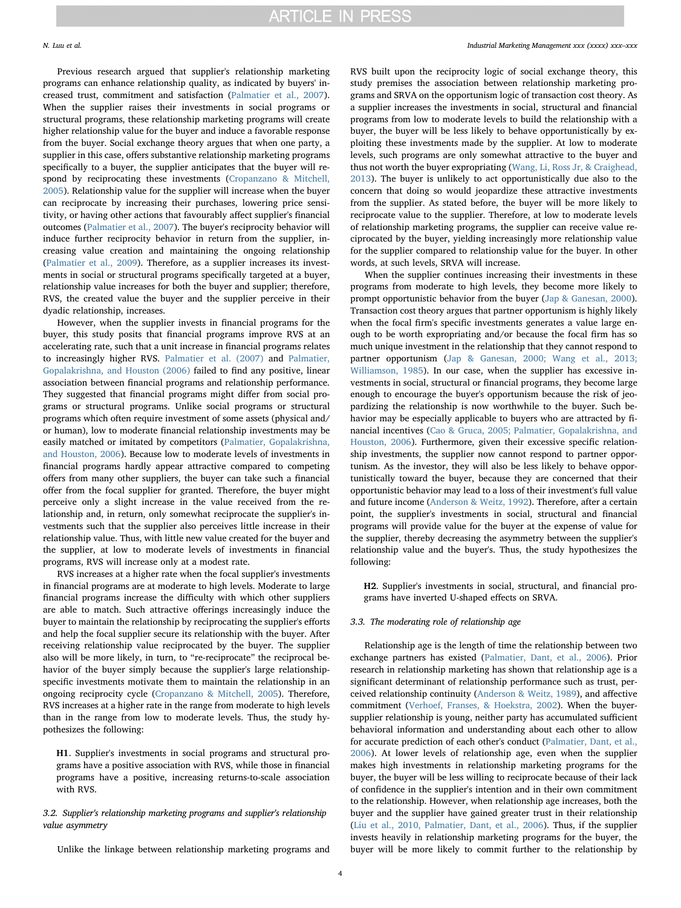Previous research argued that supplier's relationship marketing programs can enhance relationship quality, as indicated by buyers' increased trust, commitment and satisfaction [\(Palmatier et al., 2007](#page-11-2)). When the supplier raises their investments in social programs or structural programs, these relationship marketing programs will create higher relationship value for the buyer and induce a favorable response from the buyer. Social exchange theory argues that when one party, a supplier in this case, offers substantive relationship marketing programs specifically to a buyer, the supplier anticipates that the buyer will respond by reciprocating these investments [\(Cropanzano & Mitchell,](#page-10-8) [2005\)](#page-10-8). Relationship value for the supplier will increase when the buyer can reciprocate by increasing their purchases, lowering price sensitivity, or having other actions that favourably affect supplier's financial outcomes [\(Palmatier et al., 2007](#page-11-2)). The buyer's reciprocity behavior will induce further reciprocity behavior in return from the supplier, increasing value creation and maintaining the ongoing relationship ([Palmatier et al., 2009](#page-11-21)). Therefore, as a supplier increases its investments in social or structural programs specifically targeted at a buyer, relationship value increases for both the buyer and supplier; therefore, RVS, the created value the buyer and the supplier perceive in their dyadic relationship, increases.

However, when the supplier invests in financial programs for the buyer, this study posits that financial programs improve RVS at an accelerating rate, such that a unit increase in financial programs relates to increasingly higher RVS. [Palmatier et al. \(2007\)](#page-11-2) and [Palmatier,](#page-11-8) [Gopalakrishna, and Houston \(2006\)](#page-11-8) failed to find any positive, linear association between financial programs and relationship performance. They suggested that financial programs might differ from social programs or structural programs. Unlike social programs or structural programs which often require investment of some assets (physical and/ or human), low to moderate financial relationship investments may be easily matched or imitated by competitors [\(Palmatier, Gopalakrishna,](#page-11-8) [and Houston, 2006\)](#page-11-8). Because low to moderate levels of investments in financial programs hardly appear attractive compared to competing offers from many other suppliers, the buyer can take such a financial offer from the focal supplier for granted. Therefore, the buyer might perceive only a slight increase in the value received from the relationship and, in return, only somewhat reciprocate the supplier's investments such that the supplier also perceives little increase in their relationship value. Thus, with little new value created for the buyer and the supplier, at low to moderate levels of investments in financial programs, RVS will increase only at a modest rate.

RVS increases at a higher rate when the focal supplier's investments in financial programs are at moderate to high levels. Moderate to large financial programs increase the difficulty with which other suppliers are able to match. Such attractive offerings increasingly induce the buyer to maintain the relationship by reciprocating the supplier's efforts and help the focal supplier secure its relationship with the buyer. After receiving relationship value reciprocated by the buyer. The supplier also will be more likely, in turn, to "re-reciprocate" the reciprocal behavior of the buyer simply because the supplier's large relationshipspecific investments motivate them to maintain the relationship in an ongoing reciprocity cycle ([Cropanzano & Mitchell, 2005](#page-10-8)). Therefore, RVS increases at a higher rate in the range from moderate to high levels than in the range from low to moderate levels. Thus, the study hypothesizes the following:

H1. Supplier's investments in social programs and structural programs have a positive association with RVS, while those in financial programs have a positive, increasing returns-to-scale association with RVS.

3.2. Supplier's relationship marketing programs and supplier's relationship value asymmetry

Unlike the linkage between relationship marketing programs and

#### N. Luu et al. *Industrial Marketing Management xxx (xxxx) xxx–xxx*

RVS built upon the reciprocity logic of social exchange theory, this study premises the association between relationship marketing programs and SRVA on the opportunism logic of transaction cost theory. As a supplier increases the investments in social, structural and financial programs from low to moderate levels to build the relationship with a buyer, the buyer will be less likely to behave opportunistically by exploiting these investments made by the supplier. At low to moderate levels, such programs are only somewhat attractive to the buyer and thus not worth the buyer expropriating ([Wang, Li, Ross Jr, & Craighead,](#page-11-22) [2013\)](#page-11-22). The buyer is unlikely to act opportunistically due also to the concern that doing so would jeopardize these attractive investments from the supplier. As stated before, the buyer will be more likely to reciprocate value to the supplier. Therefore, at low to moderate levels of relationship marketing programs, the supplier can receive value reciprocated by the buyer, yielding increasingly more relationship value for the supplier compared to relationship value for the buyer. In other words, at such levels, SRVA will increase.

When the supplier continues increasing their investments in these programs from moderate to high levels, they become more likely to prompt opportunistic behavior from the buyer ([Jap & Ganesan, 2000](#page-11-23)). Transaction cost theory argues that partner opportunism is highly likely when the focal firm's specific investments generates a value large enough to be worth expropriating and/or because the focal firm has so much unique investment in the relationship that they cannot respond to partner opportunism [\(Jap & Ganesan, 2000; Wang et al., 2013;](#page-11-23) [Williamson, 1985](#page-11-23)). In our case, when the supplier has excessive investments in social, structural or financial programs, they become large enough to encourage the buyer's opportunism because the risk of jeopardizing the relationship is now worthwhile to the buyer. Such behavior may be especially applicable to buyers who are attracted by financial incentives [\(Cao & Gruca, 2005; Palmatier, Gopalakrishna, and](#page-10-9) [Houston, 2006\)](#page-10-9). Furthermore, given their excessive specific relationship investments, the supplier now cannot respond to partner opportunism. As the investor, they will also be less likely to behave opportunistically toward the buyer, because they are concerned that their opportunistic behavior may lead to a loss of their investment's full value and future income [\(Anderson & Weitz, 1992](#page-10-4)). Therefore, after a certain point, the supplier's investments in social, structural and financial programs will provide value for the buyer at the expense of value for the supplier, thereby decreasing the asymmetry between the supplier's relationship value and the buyer's. Thus, the study hypothesizes the following:

H2. Supplier's investments in social, structural, and financial programs have inverted U-shaped effects on SRVA.

#### 3.3. The moderating role of relationship age

Relationship age is the length of time the relationship between two exchange partners has existed [\(Palmatier, Dant, et al., 2006\)](#page-11-0). Prior research in relationship marketing has shown that relationship age is a significant determinant of relationship performance such as trust, perceived relationship continuity ([Anderson & Weitz, 1989](#page-10-1)), and affective commitment ([Verhoef, Franses, & Hoekstra, 2002\)](#page-11-24). When the buyersupplier relationship is young, neither party has accumulated sufficient behavioral information and understanding about each other to allow for accurate prediction of each other's conduct [\(Palmatier, Dant, et al.,](#page-11-0) [2006\)](#page-11-0). At lower levels of relationship age, even when the supplier makes high investments in relationship marketing programs for the buyer, the buyer will be less willing to reciprocate because of their lack of confidence in the supplier's intention and in their own commitment to the relationship. However, when relationship age increases, both the buyer and the supplier have gained greater trust in their relationship ([Liu et al., 2010, Palmatier, Dant, et al., 2006](#page-11-25)). Thus, if the supplier invests heavily in relationship marketing programs for the buyer, the buyer will be more likely to commit further to the relationship by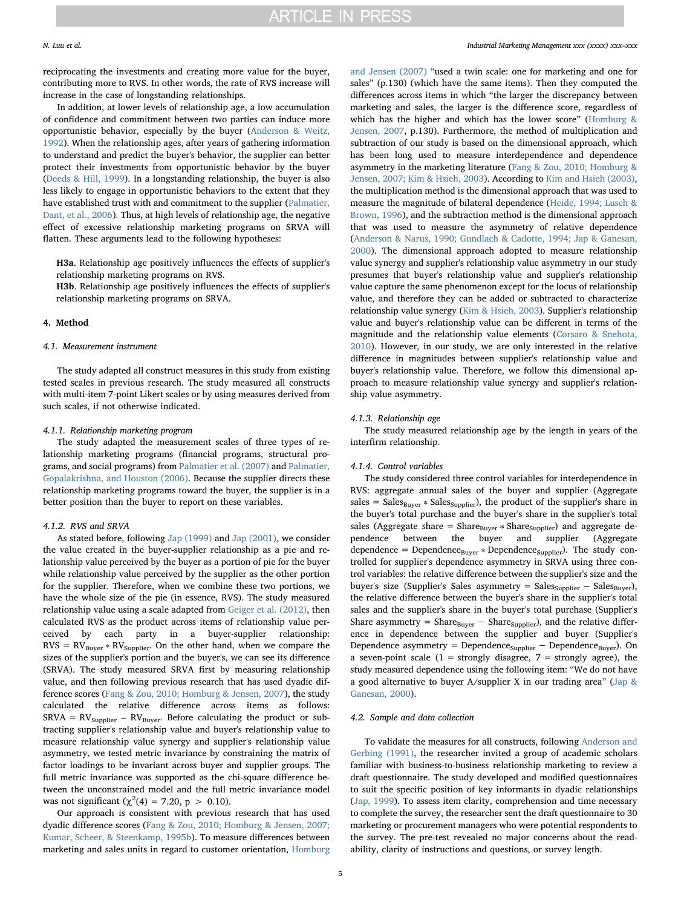reciprocating the investments and creating more value for the buyer, contributing more to RVS. In other words, the rate of RVS increase will increase in the case of longstanding relationships.

In addition, at lower levels of relationship age, a low accumulation of confidence and commitment between two parties can induce more opportunistic behavior, especially by the buyer [\(Anderson & Weitz,](#page-10-4) [1992\)](#page-10-4). When the relationship ages, after years of gathering information to understand and predict the buyer's behavior, the supplier can better protect their investments from opportunistic behavior by the buyer ([Deeds & Hill, 1999\)](#page-10-10). In a longstanding relationship, the buyer is also less likely to engage in opportunistic behaviors to the extent that they have established trust with and commitment to the supplier [\(Palmatier,](#page-11-0) [Dant, et al., 2006](#page-11-0)). Thus, at high levels of relationship age, the negative effect of excessive relationship marketing programs on SRVA will flatten. These arguments lead to the following hypotheses:

H3a. Relationship age positively influences the effects of supplier's relationship marketing programs on RVS.

H3b. Relationship age positively influences the effects of supplier's relationship marketing programs on SRVA.

#### 4. Method

#### 4.1. Measurement instrument

The study adapted all construct measures in this study from existing tested scales in previous research. The study measured all constructs with multi-item 7-point Likert scales or by using measures derived from such scales, if not otherwise indicated.

#### 4.1.1. Relationship marketing program

The study adapted the measurement scales of three types of relationship marketing programs (financial programs, structural programs, and social programs) from [Palmatier et al. \(2007\)](#page-11-2) and [Palmatier,](#page-11-8) [Gopalakrishna, and Houston \(2006\).](#page-11-8) Because the supplier directs these relationship marketing programs toward the buyer, the supplier is in a better position than the buyer to report on these variables.

#### 4.1.2. RVS and SRVA

As stated before, following [Jap \(1999\)](#page-11-9) and [Jap \(2001\),](#page-11-10) we consider the value created in the buyer-supplier relationship as a pie and relationship value perceived by the buyer as a portion of pie for the buyer while relationship value perceived by the supplier as the other portion for the supplier. Therefore, when we combine these two portions, we have the whole size of the pie (in essence, RVS). The study measured relationship value using a scale adapted from [Geiger et al. \(2012\)](#page-11-13), then calculated RVS as the product across items of relationship value perceived by each party in a buyer-supplier relationship:  $RVS = RV_{Buyer} * RV_{Supplier}$ . On the other hand, when we compare the sizes of the supplier's portion and the buyer's, we can see its difference (SRVA). The study measured SRVA first by measuring relationship value, and then following previous research that has used dyadic difference scores [\(Fang & Zou, 2010; Homburg & Jensen, 2007\)](#page-11-26), the study calculated the relative difference across items as follows:  $SRVA = RV_{Supplier} - RV_{Buyer}$ . Before calculating the product or subtracting supplier's relationship value and buyer's relationship value to measure relationship value synergy and supplier's relationship value asymmetry, we tested metric invariance by constraining the matrix of factor loadings to be invariant across buyer and supplier groups. The full metric invariance was supported as the chi-square difference between the unconstrained model and the full metric invariance model was not significant  $(\chi^2(4) = 7.20, p > 0.10)$ .

Our approach is consistent with previous research that has used dyadic difference scores ([Fang & Zou, 2010; Homburg & Jensen, 2007;](#page-11-26) [Kumar, Scheer, & Steenkamp, 1995b](#page-11-26)). To measure differences between marketing and sales units in regard to customer orientation, [Homburg](#page-11-27)

[and Jensen \(2007\)](#page-11-27) "used a twin scale: one for marketing and one for sales" (p.130) (which have the same items). Then they computed the differences across items in which "the larger the discrepancy between marketing and sales, the larger is the difference score, regardless of which has the higher and which has the lower score" ([Homburg &](#page-11-27) [Jensen, 2007,](#page-11-27) p.130). Furthermore, the method of multiplication and subtraction of our study is based on the dimensional approach, which has been long used to measure interdependence and dependence asymmetry in the marketing literature ([Fang & Zou, 2010; Homburg &](#page-11-26) [Jensen, 2007; Kim & Hsieh, 2003](#page-11-26)). According to [Kim and Hsieh \(2003\)](#page-11-28), the multiplication method is the dimensional approach that was used to measure the magnitude of bilateral dependence [\(Heide, 1994; Lusch &](#page-11-29) [Brown, 1996\)](#page-11-29), and the subtraction method is the dimensional approach that was used to measure the asymmetry of relative dependence ([Anderson & Narus, 1990; Gundlach & Cadotte, 1994; Jap & Ganesan,](#page-10-11) [2000\)](#page-10-11). The dimensional approach adopted to measure relationship value synergy and supplier's relationship value asymmetry in our study presumes that buyer's relationship value and supplier's relationship value capture the same phenomenon except for the locus of relationship value, and therefore they can be added or subtracted to characterize relationship value synergy ([Kim & Hsieh, 2003\)](#page-11-28). Supplier's relationship value and buyer's relationship value can be different in terms of the magnitude and the relationship value elements ([Corsaro & Snehota,](#page-10-3) [2010\)](#page-10-3). However, in our study, we are only interested in the relative difference in magnitudes between supplier's relationship value and buyer's relationship value. Therefore, we follow this dimensional approach to measure relationship value synergy and supplier's relationship value asymmetry.

#### 4.1.3. Relationship age

The study measured relationship age by the length in years of the interfirm relationship.

#### 4.1.4. Control variables

The study considered three control variables for interdependence in RVS: aggregate annual sales of the buyer and supplier (Aggregate sales =  $Sales<sub>Byyer</sub> * Sales<sub>Supplier</sub>$ , the product of the supplier's share in the buyer's total purchase and the buyer's share in the supplier's total sales (Aggregate share = Share $_{\text{Buyer}} * \text{Share}_{\text{Supplier}}$ ) and aggregate dependence between the buyer and supplier (Aggregate dependence = Dependence $B_{\text{layer}} *$  Dependence $S_{\text{upplier}}$ ). The study controlled for supplier's dependence asymmetry in SRVA using three control variables: the relative difference between the supplier's size and the buyer's size (Supplier's Sales asymmetry =  $Sales_{Supplier}$  –  $Sales_{Buyer}$ ), the relative difference between the buyer's share in the supplier's total sales and the supplier's share in the buyer's total purchase (Supplier's Share asymmetry = Share $_{\text{Buyer}}$  – Share<sub>Supplier</sub>), and the relative difference in dependence between the supplier and buyer (Supplier's Dependence asymmetry = Dependence  $_{\text{Supplier}}$  – Dependence  $_{\text{Buyer}}$ ). On a seven-point scale (1 = strongly disagree, 7 = strongly agree), the study measured dependence using the following item: "We do not have a good alternative to buyer A/supplier X in our trading area" ([Jap &](#page-11-23) [Ganesan, 2000](#page-11-23)).

#### 4.2. Sample and data collection

To validate the measures for all constructs, following [Anderson and](#page-10-12) [Gerbing \(1991\)](#page-10-12), the researcher invited a group of academic scholars familiar with business-to-business relationship marketing to review a draft questionnaire. The study developed and modified questionnaires to suit the specific position of key informants in dyadic relationships ([Jap, 1999\)](#page-11-9). To assess item clarity, comprehension and time necessary to complete the survey, the researcher sent the draft questionnaire to 30 marketing or procurement managers who were potential respondents to the survey. The pre-test revealed no major concerns about the readability, clarity of instructions and questions, or survey length.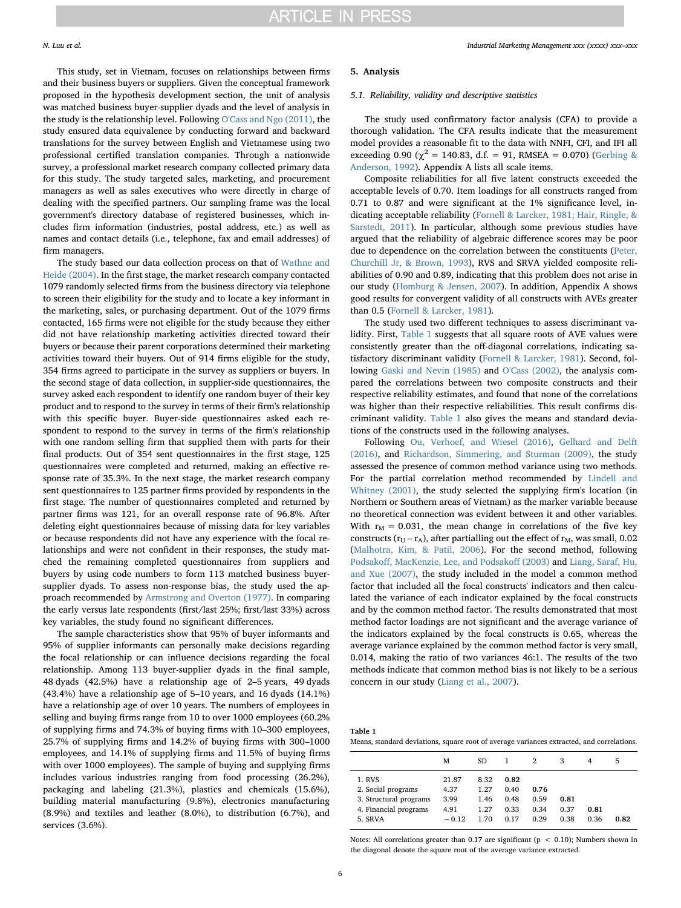This study, set in Vietnam, focuses on relationships between firms and their business buyers or suppliers. Given the conceptual framework proposed in the hypothesis development section, the unit of analysis was matched business buyer-supplier dyads and the level of analysis in the study is the relationship level. Following [O'Cass and Ngo \(2011\)](#page-11-30), the study ensured data equivalence by conducting forward and backward translations for the survey between English and Vietnamese using two professional certified translation companies. Through a nationwide survey, a professional market research company collected primary data for this study. The study targeted sales, marketing, and procurement managers as well as sales executives who were directly in charge of dealing with the specified partners. Our sampling frame was the local government's directory database of registered businesses, which includes firm information (industries, postal address, etc.) as well as names and contact details (i.e., telephone, fax and email addresses) of firm managers.

The study based our data collection process on that of [Wathne and](#page-11-31) [Heide \(2004\)](#page-11-31). In the first stage, the market research company contacted 1079 randomly selected firms from the business directory via telephone to screen their eligibility for the study and to locate a key informant in the marketing, sales, or purchasing department. Out of the 1079 firms contacted, 165 firms were not eligible for the study because they either did not have relationship marketing activities directed toward their buyers or because their parent corporations determined their marketing activities toward their buyers. Out of 914 firms eligible for the study, 354 firms agreed to participate in the survey as suppliers or buyers. In the second stage of data collection, in supplier-side questionnaires, the survey asked each respondent to identify one random buyer of their key product and to respond to the survey in terms of their firm's relationship with this specific buyer. Buyer-side questionnaires asked each respondent to respond to the survey in terms of the firm's relationship with one random selling firm that supplied them with parts for their final products. Out of 354 sent questionnaires in the first stage, 125 questionnaires were completed and returned, making an effective response rate of 35.3%. In the next stage, the market research company sent questionnaires to 125 partner firms provided by respondents in the first stage. The number of questionnaires completed and returned by partner firms was 121, for an overall response rate of 96.8%. After deleting eight questionnaires because of missing data for key variables or because respondents did not have any experience with the focal relationships and were not confident in their responses, the study matched the remaining completed questionnaires from suppliers and buyers by using code numbers to form 113 matched business buyersupplier dyads. To assess non-response bias, the study used the approach recommended by [Armstrong and Overton \(1977\)](#page-10-13). In comparing the early versus late respondents (first/last 25%; first/last 33%) across key variables, the study found no significant differences.

The sample characteristics show that 95% of buyer informants and 95% of supplier informants can personally make decisions regarding the focal relationship or can influence decisions regarding the focal relationship. Among 113 buyer-supplier dyads in the final sample, 48 dyads (42.5%) have a relationship age of 2–5 years, 49 dyads (43.4%) have a relationship age of 5–10 years, and 16 dyads (14.1%) have a relationship age of over 10 years. The numbers of employees in selling and buying firms range from 10 to over 1000 employees (60.2% of supplying firms and 74.3% of buying firms with 10–300 employees, 25.7% of supplying firms and 14.2% of buying firms with 300–1000 employees, and 14.1% of supplying firms and 11.5% of buying firms with over 1000 employees). The sample of buying and supplying firms includes various industries ranging from food processing (26.2%), packaging and labeling (21.3%), plastics and chemicals (15.6%), building material manufacturing (9.8%), electronics manufacturing (8.9%) and textiles and leather (8.0%), to distribution (6.7%), and services (3.6%).

#### 5. Analysis

#### 5.1. Reliability, validity and descriptive statistics

The study used confirmatory factor analysis (CFA) to provide a thorough validation. The CFA results indicate that the measurement model provides a reasonable fit to the data with NNFI, CFI, and IFI all exceeding 0.90 ( $\chi^2$  = 140.83, d.f. = 91, RMSEA = 0.070) [\(Gerbing &](#page-11-32) [Anderson, 1992\)](#page-11-32). Appendix A lists all scale items.

Composite reliabilities for all five latent constructs exceeded the acceptable levels of 0.70. Item loadings for all constructs ranged from 0.71 to 0.87 and were significant at the 1% significance level, indicating acceptable reliability ([Fornell & Larcker, 1981; Hair, Ringle, &](#page-11-33) [Sarstedt, 2011](#page-11-33)). In particular, although some previous studies have argued that the reliability of algebraic difference scores may be poor due to dependence on the correlation between the constituents [\(Peter,](#page-11-34) [Churchill Jr, & Brown, 1993\)](#page-11-34), RVS and SRVA yielded composite reliabilities of 0.90 and 0.89, indicating that this problem does not arise in our study ([Homburg & Jensen, 2007](#page-11-27)). In addition, Appendix A shows good results for convergent validity of all constructs with AVEs greater than 0.5 ([Fornell & Larcker, 1981](#page-11-33)).

The study used two different techniques to assess discriminant validity. First, [Table 1](#page-5-0) suggests that all square roots of AVE values were consistently greater than the off-diagonal correlations, indicating satisfactory discriminant validity [\(Fornell & Larcker, 1981\)](#page-11-33). Second, following [Gaski and Nevin \(1985\)](#page-11-35) and [O'Cass \(2002\)](#page-11-36), the analysis compared the correlations between two composite constructs and their respective reliability estimates, and found that none of the correlations was higher than their respective reliabilities. This result confirms discriminant validity. [Table 1](#page-5-0) also gives the means and standard deviations of the constructs used in the following analyses.

Following [Ou, Verhoef, and Wiesel \(2016\)](#page-11-37), [Gelhard and Delft](#page-11-38) [\(2016\),](#page-11-38) and [Richardson, Simmering, and Sturman \(2009\),](#page-11-39) the study assessed the presence of common method variance using two methods. For the partial correlation method recommended by [Lindell and](#page-11-40) [Whitney \(2001\)](#page-11-40), the study selected the supplying firm's location (in Northern or Southern areas of Vietnam) as the marker variable because no theoretical connection was evident between it and other variables. With  $r_M = 0.031$ , the mean change in correlations of the five key constructs ( $r_U - r_A$ ), after partialling out the effect of  $r_M$ , was small, 0.02 ([Malhotra, Kim, & Patil, 2006](#page-11-41)). For the second method, following Podsakoff[, MacKenzie, Lee, and Podsako](#page-11-42)ff (2003) and [Liang, Saraf, Hu,](#page-11-43) [and Xue \(2007\),](#page-11-43) the study included in the model a common method factor that included all the focal constructs' indicators and then calculated the variance of each indicator explained by the focal constructs and by the common method factor. The results demonstrated that most method factor loadings are not significant and the average variance of the indicators explained by the focal constructs is 0.65, whereas the average variance explained by the common method factor is very small, 0.014, making the ratio of two variances 46:1. The results of the two methods indicate that common method bias is not likely to be a serious concern in our study [\(Liang et al., 2007\)](#page-11-43).

<span id="page-5-0"></span>

| Table 1                                                                                   |  |
|-------------------------------------------------------------------------------------------|--|
| Means, standard deviations, square root of average variances extracted, and correlations. |  |

|                                                                                            | M                                        | SD.                                  |                                      | 2                            | 3                    | 4            | 5    |
|--------------------------------------------------------------------------------------------|------------------------------------------|--------------------------------------|--------------------------------------|------------------------------|----------------------|--------------|------|
| 1. RVS<br>2. Social programs<br>3. Structural programs<br>4. Financial programs<br>5. SRVA | 21.87<br>4.37<br>3.99<br>4.91<br>$-0.12$ | 8.32<br>1.27<br>1.46<br>1.27<br>1.70 | 0.82<br>0.40<br>0.48<br>0.33<br>0.17 | 0.76<br>0.59<br>0.34<br>0.29 | 0.81<br>0.37<br>0.38 | 0.81<br>0.36 | 0.82 |

Notes: All correlations greater than 0.17 are significant ( $p < 0.10$ ); Numbers shown in the diagonal denote the square root of the average variance extracted.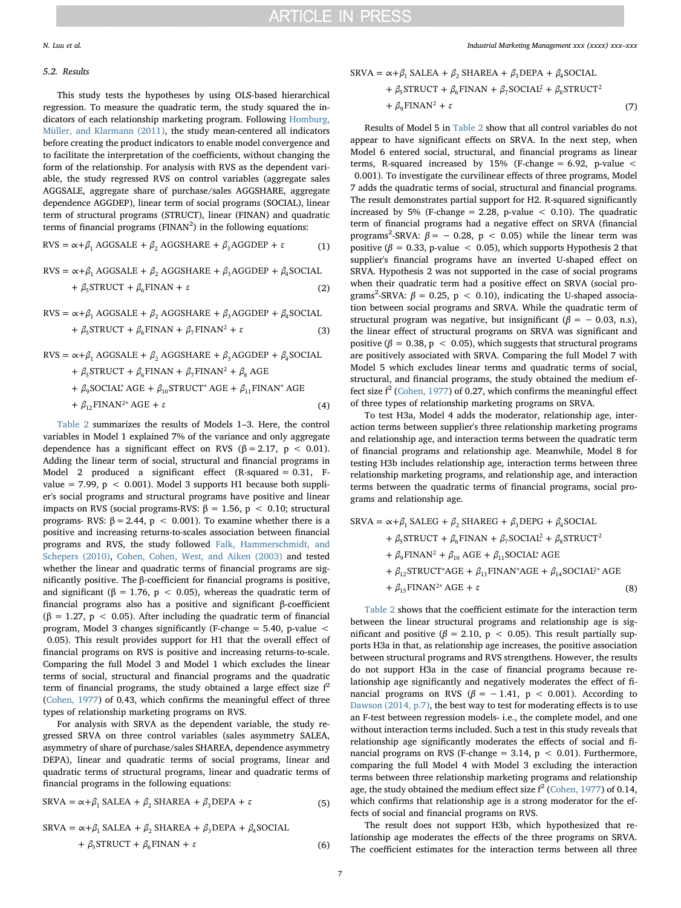#### 5.2. Results

This study tests the hypotheses by using OLS-based hierarchical regression. To measure the quadratic term, the study squared the indicators of each relationship marketing program. Following [Homburg,](#page-11-44) [Müller, and Klarmann \(2011\)](#page-11-44), the study mean-centered all indicators before creating the product indicators to enable model convergence and to facilitate the interpretation of the coefficients, without changing the form of the relationship. For analysis with RVS as the dependent variable, the study regressed RVS on control variables (aggregate sales AGGSALE, aggregate share of purchase/sales AGGSHARE, aggregate dependence AGGDEP), linear term of social programs (SOCIAL), linear term of structural programs (STRUCT), linear (FINAN) and quadratic terms of financial programs ( $FINAN<sup>2</sup>$ ) in the following equations:

$$
RVS = \alpha + \beta_1 AGGSALE + \beta_2 AGGSHARE + \beta_3 AGGDEF + \varepsilon
$$
 (1)

RVS = 
$$
\alpha + \beta_1
$$
 AGGSALE +  $\beta_2$  AGGSHARE +  $\beta_3$ AGGDEF +  $\beta_4$ SOCIAL  
+  $\beta_5$ STRUCT +  $\beta_6$ FINAN +  $\varepsilon$  (2)

RVS = 
$$
\alpha + \beta_1
$$
 AGGSALE +  $\beta_2$  AGGSHARE +  $\beta_3$ AGGDEF +  $\beta_4$ SOCIAL  
+  $\beta_5$ STRUCT +  $\beta_6$ FINAN +  $\beta_7$ FINAN<sup>2</sup> +  $\varepsilon$  (3)

RVS = 
$$
\alpha + \beta_1
$$
 AGGSALE +  $\beta_2$  AGGSHARE +  $\beta_3$ AGGDEF +  $\beta_4$ SOCIAL  
+  $\beta_5$ STRUCT +  $\beta_6$ FINAN +  $\beta_7$ FINAN<sup>2</sup> +  $\beta_8$  AGE  
+  $\beta_9$ SOCIAL\*AGE +  $\beta_{10}$ STRUCT\* AGE +  $\beta_{11}$ FINAN\* AGE

$$
+\beta_{12} \text{FINAN}^{2*} \text{AGE} + \varepsilon \tag{4}
$$

[Table 2](#page-7-0) summarizes the results of Models 1–3. Here, the control variables in Model 1 explained 7% of the variance and only aggregate dependence has a significant effect on RVS ( $\beta$  = 2.17, p < 0.01). Adding the linear term of social, structural and financial programs in Model 2 produced a significant effect (R-squared = 0.31, Fvalue = 7.99,  $p < 0.001$ ). Model 3 supports H1 because both supplier's social programs and structural programs have positive and linear impacts on RVS (social programs-RVS:  $β = 1.56$ ,  $p < 0.10$ ; structural programs- RVS:  $β = 2.44$ ,  $p < 0.001$ ). To examine whether there is a positive and increasing returns-to-scales association between financial programs and RVS, the study followed [Falk, Hammerschmidt, and](#page-10-14) [Schepers \(2010\)](#page-10-14), [Cohen, Cohen, West, and Aiken \(2003\)](#page-10-15) and tested whether the linear and quadratic terms of financial programs are significantly positive. The β-coefficient for financial programs is positive, and significant ( $\beta = 1.76$ ,  $p < 0.05$ ), whereas the quadratic term of financial programs also has a positive and significant β-coefficient ( $\beta$  = 1.27, p < 0.05). After including the quadratic term of financial program, Model 3 changes significantly (F-change = 5.40, p-value < 0.05). This result provides support for H1 that the overall effect of financial programs on RVS is positive and increasing returns-to-scale. Comparing the full Model 3 and Model 1 which excludes the linear terms of social, structural and financial programs and the quadratic term of financial programs, the study obtained a large effect size  $f^2$ ([Cohen, 1977](#page-10-16)) of 0.43, which confirms the meaningful effect of three types of relationship marketing programs on RVS.

For analysis with SRVA as the dependent variable, the study regressed SRVA on three control variables (sales asymmetry SALEA, asymmetry of share of purchase/sales SHAREA, dependence asymmetry DEPA), linear and quadratic terms of social programs, linear and quadratic terms of structural programs, linear and quadratic terms of financial programs in the following equations:

$$
SRVA = \alpha + \beta_1 SALEA + \beta_2 SHAREA + \beta_3 DEPA + \varepsilon
$$
 (5)

$$
SRVA = \alpha + \beta_1 SALEA + \beta_2 SHAREA + \beta_3 DEPA + \beta_4 SOCIAL
$$
  
+  $\beta_5 STRUCT + \beta_6 FINAN + \varepsilon$  (6)

#### N. Luu et al. *Industrial Marketing Management xxx (xxxx) xxx–xxx*

$$
SRVA = \alpha + \beta_1 SALEA + \beta_2 SHAREA + \beta_3 DEPA + \beta_4 SOCIAL
$$
  
+  $\beta_5$ STRUCT +  $\beta_6$ FINAN +  $\beta_7$ SOCIAI<sup>2</sup> +  $\beta_8$ STRUCT<sup>2</sup>  
+  $\beta_9$ FINAN<sup>2</sup> +  $\varepsilon$  (7)

Results of Model 5 in [Table 2](#page-7-0) show that all control variables do not appear to have significant effects on SRVA. In the next step, when Model 6 entered social, structural, and financial programs as linear terms, R-squared increased by  $15%$  (F-change = 6.92, p-value < 0.001). To investigate the curvilinear effects of three programs, Model 7 adds the quadratic terms of social, structural and financial programs. The result demonstrates partial support for H2. R-squared significantly increased by 5% (F-change = 2.28, p-value  $<$  0.10). The quadratic term of financial programs had a negative effect on SRVA (financial programs<sup>2</sup>-SRVA:  $\beta$  = - 0.28, p < 0.05) while the linear term was positive ( $\beta = 0.33$ , p-value < 0.05), which supports Hypothesis 2 that supplier's financial programs have an inverted U-shaped effect on SRVA. Hypothesis 2 was not supported in the case of social programs when their quadratic term had a positive effect on SRVA (social programs<sup>2</sup>-SRVA:  $\beta$  = 0.25, p < 0.10), indicating the U-shaped association between social programs and SRVA. While the quadratic term of structural program was negative, but insignificant ( $\beta = -0.03$ , n.s), the linear effect of structural programs on SRVA was significant and positive ( $\beta = 0.38$ ,  $p < 0.05$ ), which suggests that structural programs are positively associated with SRVA. Comparing the full Model 7 with Model 5 which excludes linear terms and quadratic terms of social, structural, and financial programs, the study obtained the medium effect size  $f^2$  ([Cohen, 1977\)](#page-10-16) of 0.27, which confirms the meaningful effect of three types of relationship marketing programs on SRVA.

To test H3a, Model 4 adds the moderator, relationship age, interaction terms between supplier's three relationship marketing programs and relationship age, and interaction terms between the quadratic term of financial programs and relationship age. Meanwhile, Model 8 for testing H3b includes relationship age, interaction terms between three relationship marketing programs, and relationship age, and interaction terms between the quadratic terms of financial programs, social programs and relationship age.

$$
SRVA = \alpha + \beta_1 SALEG + \beta_2 SHAREG + \beta_3 DEPG + \beta_4 SOCIAL + \beta_5 STRUCT + \beta_6 FINAN + \beta_7 SOCIAI2 + \beta_8 STRUCT2 + \beta_9 FINAN2 + \beta_{10} AGE + \beta_{11} SOCIAI* AGE + \beta_{12} STRUCT*AGE + \beta_{13} FINAN*AGE + \beta_{14} SOCIAI* AGE + \beta_{15} FINAN2* AGE + \varepsilon
$$
 (8)

[Table 2](#page-7-0) shows that the coefficient estimate for the interaction term between the linear structural programs and relationship age is significant and positive ( $β = 2.10$ ,  $p < 0.05$ ). This result partially supports H3a in that, as relationship age increases, the positive association between structural programs and RVS strengthens. However, the results do not support H3a in the case of financial programs because relationship age significantly and negatively moderates the effect of financial programs on RVS ( $\beta$  = -1.41, p < 0.001). According to [Dawson \(2014, p.7\),](#page-10-17) the best way to test for moderating effects is to use an F-test between regression models- i.e., the complete model, and one without interaction terms included. Such a test in this study reveals that relationship age significantly moderates the effects of social and financial programs on RVS (F-change = 3.14,  $p < 0.01$ ). Furthermore, comparing the full Model 4 with Model 3 excluding the interaction terms between three relationship marketing programs and relationship age, the study obtained the medium effect size  $f^2$  [\(Cohen, 1977\)](#page-10-16) of 0.14, which confirms that relationship age is a strong moderator for the effects of social and financial programs on RVS.

The result does not support H3b, which hypothesized that relationship age moderates the effects of the three programs on SRVA. The coefficient estimates for the interaction terms between all three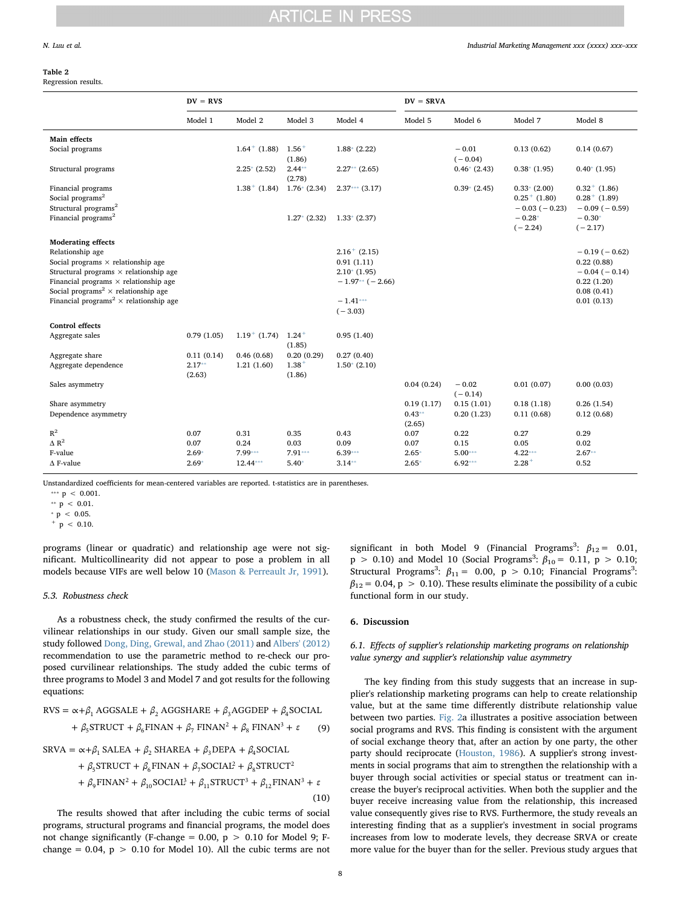#### <span id="page-7-0"></span>Table 2

Regression results.

|                                                                                                   | $DV = RVS$         |                   |                      |                             | $DV = SRVA$        |                      |                                                      |                                                          |
|---------------------------------------------------------------------------------------------------|--------------------|-------------------|----------------------|-----------------------------|--------------------|----------------------|------------------------------------------------------|----------------------------------------------------------|
|                                                                                                   | Model 1            | Model 2           | Model 3              | Model 4                     | Model 5            | Model 6              | Model 7                                              | Model 8                                                  |
| <b>Main effects</b>                                                                               |                    |                   |                      |                             |                    |                      |                                                      |                                                          |
| Social programs                                                                                   |                    | $1.64 + (1.88)$   | $1.56 +$<br>(1.86)   | $1.88*(2.22)$               |                    | $-0.01$<br>$(-0.04)$ | 0.13(0.62)                                           | 0.14(0.67)                                               |
| Structural programs                                                                               |                    | $2.25*(2.52)$     | $2.44**$<br>(2.78)   | $2.27**$ (2.65)             |                    | $0.46*(2.43)$        | $0.38*(1.95)$                                        | $0.40*(1.95)$                                            |
| Financial programs<br>Social programs <sup>2</sup><br>Structural programs <sup>2</sup>            |                    | $1.38^{+}$ (1.84) | $1.76*(2.34)$        | $2.37***$ (3.17)            |                    | $0.39*(2.45)$        | $0.33*(2.00)$<br>$0.25^{+}$ (1.80)<br>$-0.03(-0.23)$ | $0.32^{+}$ (1.86)<br>$0.28^{+}$ (1.89)<br>$-0.09(-0.59)$ |
| Financial programs <sup>2</sup>                                                                   |                    |                   | $1.27*(2.32)$        | $1.33*(2.37)$               |                    |                      | $-0.28*$<br>$(-2.24)$                                | $-0.30*$<br>$(-2.17)$                                    |
| <b>Moderating effects</b>                                                                         |                    |                   |                      |                             |                    |                      |                                                      |                                                          |
| Relationship age                                                                                  |                    |                   |                      | $2.16^{+}$ (2.15)           |                    |                      |                                                      | $-0.19(-0.62)$                                           |
| Social programs $\times$ relationship age<br>Structural programs $\times$ relationship age        |                    |                   |                      | 0.91(1.11)<br>$2.10*(1.95)$ |                    |                      |                                                      | 0.22(0.88)<br>$-0.04(-0.14)$                             |
| Financial programs $\times$ relationship age<br>Social programs<br>$^2$ $\times$ relationship age |                    |                   |                      | $-1.97**$ ( $-2.66$ )       |                    |                      |                                                      | 0.22(1.20)<br>0.08(0.41)                                 |
| Financial programs <sup>2</sup> $\times$ relationship age                                         |                    |                   |                      | $-1.41***$                  |                    |                      |                                                      | 0.01(0.13)                                               |
|                                                                                                   |                    |                   |                      | $(-3.03)$                   |                    |                      |                                                      |                                                          |
| <b>Control effects</b>                                                                            |                    |                   |                      |                             |                    |                      |                                                      |                                                          |
| Aggregate sales                                                                                   | 0.79(1.05)         | $1.19^+$ (1.74)   | $1.24 +$<br>(1.85)   | 0.95(1.40)                  |                    |                      |                                                      |                                                          |
| Aggregate share                                                                                   | 0.11(0.14)         | 0.46(0.68)        | 0.20(0.29)           | 0.27(0.40)                  |                    |                      |                                                      |                                                          |
| Aggregate dependence                                                                              | $2.17**$<br>(2.63) | 1.21(1.60)        | $1.38^{+}$<br>(1.86) | $1.50*(2.10)$               |                    |                      |                                                      |                                                          |
| Sales asymmetry                                                                                   |                    |                   |                      |                             | 0.04(0.24)         | $-0.02$<br>$(-0.14)$ | 0.01(0.07)                                           | 0.00(0.03)                                               |
| Share asymmetry                                                                                   |                    |                   |                      |                             | 0.19(1.17)         | 0.15(1.01)           | 0.18(1.18)                                           | 0.26(1.54)                                               |
| Dependence asymmetry                                                                              |                    |                   |                      |                             | $0.43**$<br>(2.65) | 0.20(1.23)           | 0.11(0.68)                                           | 0.12(0.68)                                               |
| $R^2$                                                                                             | 0.07               | 0.31              | 0.35                 | 0.43                        | 0.07               | 0.22                 | 0.27                                                 | 0.29                                                     |
| $\triangle R^2$                                                                                   | 0.07               | 0.24              | 0.03                 | 0.09                        | 0.07               | 0.15                 | 0.05                                                 | 0.02                                                     |
| F-value                                                                                           | $2.69*$            | 7.99***           | $7.91***$            | $6.39***$                   | $2.65*$            | $5.00***$            | $4.22***$                                            | $2.67**$                                                 |
| $\Delta$ F-value                                                                                  | $2.69*$            | $12.44***$        | $5.40*$              | $3.14**$                    | $2.65*$            | $6.92***$            | $2.28 +$                                             | 0.52                                                     |

Unstandardized coefficients for mean-centered variables are reported. t-statistics are in parentheses.

<span id="page-7-2"></span> $* p < 0.05.$ 

<span id="page-7-1"></span> $p < 0.10$ .

programs (linear or quadratic) and relationship age were not significant. Multicollinearity did not appear to pose a problem in all models because VIFs are well below 10 ([Mason & Perreault Jr, 1991](#page-11-45)).

#### 5.3. Robustness check

As a robustness check, the study confirmed the results of the curvilinear relationships in our study. Given our small sample size, the study followed [Dong, Ding, Grewal, and Zhao \(2011\)](#page-10-18) and [Albers' \(2012\)](#page-10-19) recommendation to use the parametric method to re-check our proposed curvilinear relationships. The study added the cubic terms of three programs to Model 3 and Model 7 and got results for the following equations:

RVS = 
$$
\alpha + \beta_1
$$
 AGGSALE +  $\beta_2$  AGGSHARE +  $\beta_3$ AGGDEF +  $\beta_4$ SOCIAL  
+  $\beta_5$ STRUCT +  $\beta_6$ FINAN +  $\beta_7$  FINAN<sup>2</sup> +  $\beta_8$  FINAN<sup>3</sup> +  $\varepsilon$  (9)

$$
SRVA = \alpha + \beta_1 SALEA + \beta_2 SHAREA + \beta_3 DEPA + \beta_4 SOCIAL + \beta_5 STRUCT + \beta_6 FINAN + \beta_7 SOCIAL2 + \beta_8 STRUCT2 + \beta_9 FINAN2 + \beta_{10} SOCIAL3 + \beta_{11} STRUCT3 + \beta_{12} FINAN3 + \varepsilon
$$
\n(10)

The results showed that after including the cubic terms of social programs, structural programs and financial programs, the model does not change significantly (F-change =  $0.00$ ,  $p > 0.10$  for Model 9; Fchange =  $0.04$ ,  $p > 0.10$  for Model 10). All the cubic terms are not

significant in both Model 9 (Financial Programs<sup>3</sup>:  $\beta_{12} = 0.01$ ,  $p > 0.10$ ) and Model 10 (Social Programs<sup>3</sup>:  $\beta_{10} = 0.11$ ,  $p > 0.10$ ; Structural Programs<sup>3</sup>:  $\beta_{11} = 0.00, p > 0.10$ ; Financial Programs<sup>3</sup>:  $\beta_{12}$  = 0.04, p > 0.10). These results eliminate the possibility of a cubic functional form in our study.

#### 6. Discussion

#### 6.1. Effects of supplier's relationship marketing programs on relationship value synergy and supplier's relationship value asymmetry

The key finding from this study suggests that an increase in supplier's relationship marketing programs can help to create relationship value, but at the same time differently distribute relationship value between two parties. [Fig. 2a](#page-8-0) illustrates a positive association between social programs and RVS. This finding is consistent with the argument of social exchange theory that, after an action by one party, the other party should reciprocate [\(Houston, 1986\)](#page-11-20). A supplier's strong investments in social programs that aim to strengthen the relationship with a buyer through social activities or special status or treatment can increase the buyer's reciprocal activities. When both the supplier and the buyer receive increasing value from the relationship, this increased value consequently gives rise to RVS. Furthermore, the study reveals an interesting finding that as a supplier's investment in social programs increases from low to moderate levels, they decrease SRVA or create more value for the buyer than for the seller. Previous study argues that

<span id="page-7-4"></span><sup>\*\*\*</sup>  $p < 0.001$ .

<span id="page-7-3"></span><sup>\*\*</sup>  $p$  < 0.01.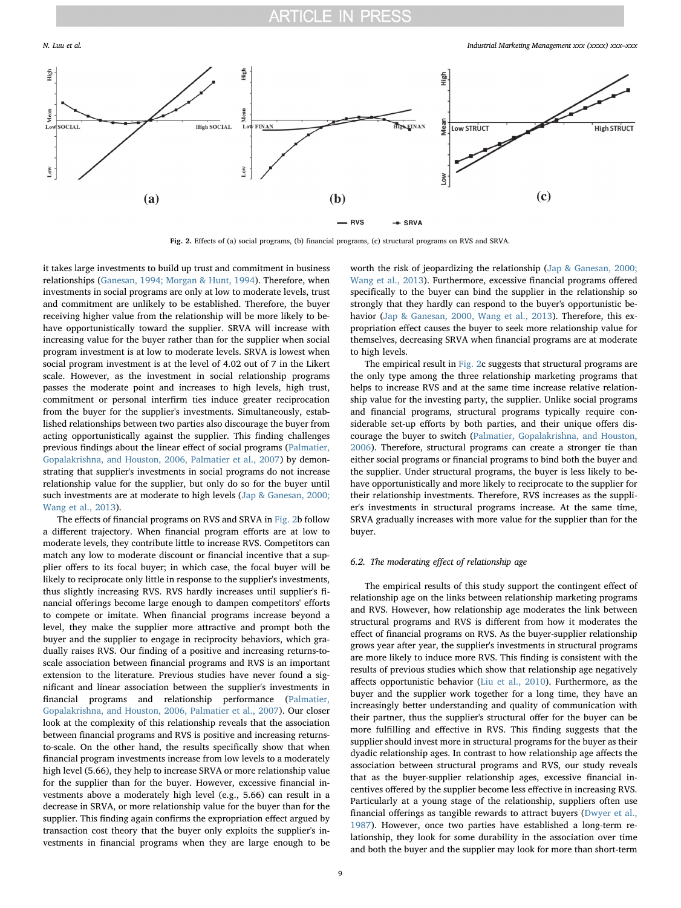

N. Luu et al. *Industrial Marketing Management xxx (xxxx) xxx–xxx*

<span id="page-8-0"></span>

Fig. 2. Effects of (a) social programs, (b) financial programs, (c) structural programs on RVS and SRVA.

it takes large investments to build up trust and commitment in business relationships [\(Ganesan, 1994; Morgan & Hunt, 1994\)](#page-11-46). Therefore, when investments in social programs are only at low to moderate levels, trust and commitment are unlikely to be established. Therefore, the buyer receiving higher value from the relationship will be more likely to behave opportunistically toward the supplier. SRVA will increase with increasing value for the buyer rather than for the supplier when social program investment is at low to moderate levels. SRVA is lowest when social program investment is at the level of 4.02 out of 7 in the Likert scale. However, as the investment in social relationship programs passes the moderate point and increases to high levels, high trust, commitment or personal interfirm ties induce greater reciprocation from the buyer for the supplier's investments. Simultaneously, established relationships between two parties also discourage the buyer from acting opportunistically against the supplier. This finding challenges previous findings about the linear effect of social programs [\(Palmatier,](#page-11-8) [Gopalakrishna, and Houston, 2006, Palmatier et al., 2007\)](#page-11-8) by demonstrating that supplier's investments in social programs do not increase relationship value for the supplier, but only do so for the buyer until such investments are at moderate to high levels [\(Jap & Ganesan, 2000;](#page-11-23) [Wang et al., 2013](#page-11-23)).

The effects of financial programs on RVS and SRVA in [Fig. 2b](#page-8-0) follow a different trajectory. When financial program efforts are at low to moderate levels, they contribute little to increase RVS. Competitors can match any low to moderate discount or financial incentive that a supplier offers to its focal buyer; in which case, the focal buyer will be likely to reciprocate only little in response to the supplier's investments, thus slightly increasing RVS. RVS hardly increases until supplier's financial offerings become large enough to dampen competitors' efforts to compete or imitate. When financial programs increase beyond a level, they make the supplier more attractive and prompt both the buyer and the supplier to engage in reciprocity behaviors, which gradually raises RVS. Our finding of a positive and increasing returns-toscale association between financial programs and RVS is an important extension to the literature. Previous studies have never found a significant and linear association between the supplier's investments in financial programs and relationship performance [\(Palmatier,](#page-11-8) [Gopalakrishna, and Houston, 2006, Palmatier et al., 2007](#page-11-8)). Our closer look at the complexity of this relationship reveals that the association between financial programs and RVS is positive and increasing returnsto-scale. On the other hand, the results specifically show that when financial program investments increase from low levels to a moderately high level (5.66), they help to increase SRVA or more relationship value for the supplier than for the buyer. However, excessive financial investments above a moderately high level (e.g., 5.66) can result in a decrease in SRVA, or more relationship value for the buyer than for the supplier. This finding again confirms the expropriation effect argued by transaction cost theory that the buyer only exploits the supplier's investments in financial programs when they are large enough to be

worth the risk of jeopardizing the relationship ([Jap & Ganesan, 2000;](#page-11-23) [Wang et al., 2013\)](#page-11-23). Furthermore, excessive financial programs offered specifically to the buyer can bind the supplier in the relationship so strongly that they hardly can respond to the buyer's opportunistic behavior [\(Jap & Ganesan, 2000, Wang et al., 2013](#page-11-23)). Therefore, this expropriation effect causes the buyer to seek more relationship value for themselves, decreasing SRVA when financial programs are at moderate to high levels.

The empirical result in [Fig. 2](#page-8-0)c suggests that structural programs are the only type among the three relationship marketing programs that helps to increase RVS and at the same time increase relative relationship value for the investing party, the supplier. Unlike social programs and financial programs, structural programs typically require considerable set-up efforts by both parties, and their unique offers discourage the buyer to switch [\(Palmatier, Gopalakrishna, and Houston,](#page-11-8) [2006\)](#page-11-8). Therefore, structural programs can create a stronger tie than either social programs or financial programs to bind both the buyer and the supplier. Under structural programs, the buyer is less likely to behave opportunistically and more likely to reciprocate to the supplier for their relationship investments. Therefore, RVS increases as the supplier's investments in structural programs increase. At the same time, SRVA gradually increases with more value for the supplier than for the buyer.

#### 6.2. The moderating effect of relationship age

The empirical results of this study support the contingent effect of relationship age on the links between relationship marketing programs and RVS. However, how relationship age moderates the link between structural programs and RVS is different from how it moderates the effect of financial programs on RVS. As the buyer-supplier relationship grows year after year, the supplier's investments in structural programs are more likely to induce more RVS. This finding is consistent with the results of previous studies which show that relationship age negatively affects opportunistic behavior [\(Liu et al., 2010](#page-11-25)). Furthermore, as the buyer and the supplier work together for a long time, they have an increasingly better understanding and quality of communication with their partner, thus the supplier's structural offer for the buyer can be more fulfilling and effective in RVS. This finding suggests that the supplier should invest more in structural programs for the buyer as their dyadic relationship ages. In contrast to how relationship age affects the association between structural programs and RVS, our study reveals that as the buyer-supplier relationship ages, excessive financial incentives offered by the supplier become less effective in increasing RVS. Particularly at a young stage of the relationship, suppliers often use financial offerings as tangible rewards to attract buyers [\(Dwyer et al.,](#page-10-20) [1987\)](#page-10-20). However, once two parties have established a long-term relationship, they look for some durability in the association over time and both the buyer and the supplier may look for more than short-term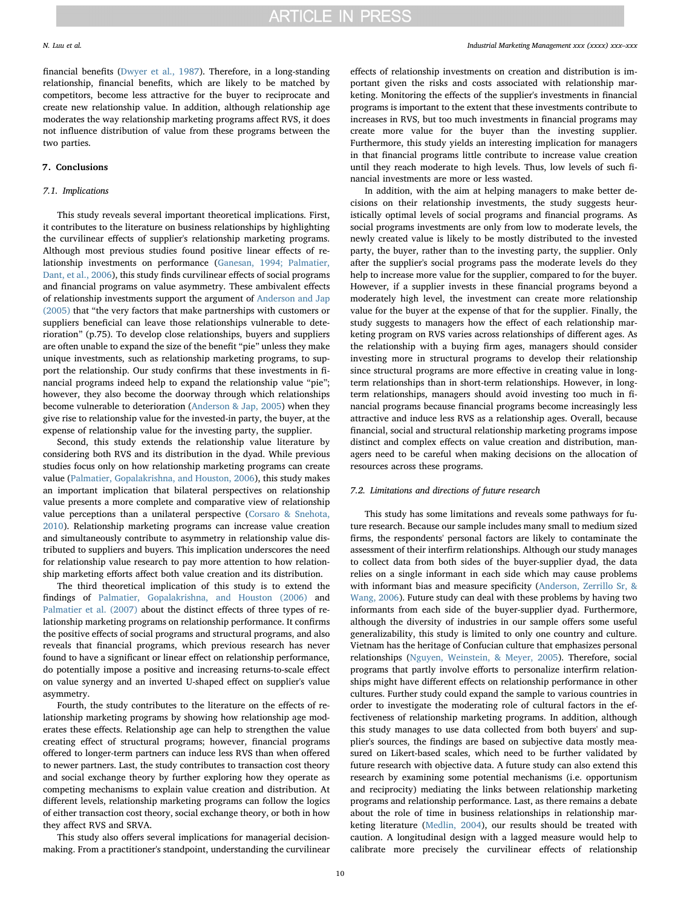financial benefits ([Dwyer et al., 1987](#page-10-20)). Therefore, in a long-standing relationship, financial benefits, which are likely to be matched by competitors, become less attractive for the buyer to reciprocate and create new relationship value. In addition, although relationship age moderates the way relationship marketing programs affect RVS, it does not influence distribution of value from these programs between the two parties.

#### 7. Conclusions

#### 7.1. Implications

This study reveals several important theoretical implications. First, it contributes to the literature on business relationships by highlighting the curvilinear effects of supplier's relationship marketing programs. Although most previous studies found positive linear effects of relationship investments on performance [\(Ganesan, 1994; Palmatier,](#page-11-46) [Dant, et al., 2006\)](#page-11-46), this study finds curvilinear effects of social programs and financial programs on value asymmetry. These ambivalent effects of relationship investments support the argument of [Anderson and Jap](#page-10-0) [\(2005\)](#page-10-0) that "the very factors that make partnerships with customers or suppliers beneficial can leave those relationships vulnerable to deterioration" (p.75). To develop close relationships, buyers and suppliers are often unable to expand the size of the benefit "pie" unless they make unique investments, such as relationship marketing programs, to support the relationship. Our study confirms that these investments in financial programs indeed help to expand the relationship value "pie"; however, they also become the doorway through which relationships become vulnerable to deterioration ([Anderson & Jap, 2005](#page-10-0)) when they give rise to relationship value for the invested-in party, the buyer, at the expense of relationship value for the investing party, the supplier.

Second, this study extends the relationship value literature by considering both RVS and its distribution in the dyad. While previous studies focus only on how relationship marketing programs can create value ([Palmatier, Gopalakrishna, and Houston, 2006\)](#page-11-8), this study makes an important implication that bilateral perspectives on relationship value presents a more complete and comparative view of relationship value perceptions than a unilateral perspective ([Corsaro & Snehota,](#page-10-3) [2010\)](#page-10-3). Relationship marketing programs can increase value creation and simultaneously contribute to asymmetry in relationship value distributed to suppliers and buyers. This implication underscores the need for relationship value research to pay more attention to how relationship marketing efforts affect both value creation and its distribution.

The third theoretical implication of this study is to extend the findings of [Palmatier, Gopalakrishna, and Houston \(2006\)](#page-11-8) and Palmatier [et al. \(2007\)](#page-11-2) about the distinct effects of three types of relationship marketing programs on relationship performance. It confirms the positive effects of social programs and structural programs, and also reveals that financial programs, which previous research has never found to have a significant or linear effect on relationship performance, do potentially impose a positive and increasing returns-to-scale effect on value synergy and an inverted U-shaped effect on supplier's value asymmetry.

Fourth, the study contributes to the literature on the effects of relationship marketing programs by showing how relationship age moderates these effects. Relationship age can help to strengthen the value creating effect of structural programs; however, financial programs offered to longer-term partners can induce less RVS than when offered to newer partners. Last, the study contributes to transaction cost theory and social exchange theory by further exploring how they operate as competing mechanisms to explain value creation and distribution. At different levels, relationship marketing programs can follow the logics of either transaction cost theory, social exchange theory, or both in how they affect RVS and SRVA.

This study also offers several implications for managerial decisionmaking. From a practitioner's standpoint, understanding the curvilinear effects of relationship investments on creation and distribution is important given the risks and costs associated with relationship marketing. Monitoring the effects of the supplier's investments in financial programs is important to the extent that these investments contribute to increases in RVS, but too much investments in financial programs may create more value for the buyer than the investing supplier. Furthermore, this study yields an interesting implication for managers in that financial programs little contribute to increase value creation until they reach moderate to high levels. Thus, low levels of such financial investments are more or less wasted.

In addition, with the aim at helping managers to make better decisions on their relationship investments, the study suggests heuristically optimal levels of social programs and financial programs. As social programs investments are only from low to moderate levels, the newly created value is likely to be mostly distributed to the invested party, the buyer, rather than to the investing party, the supplier. Only after the supplier's social programs pass the moderate levels do they help to increase more value for the supplier, compared to for the buyer. However, if a supplier invests in these financial programs beyond a moderately high level, the investment can create more relationship value for the buyer at the expense of that for the supplier. Finally, the study suggests to managers how the effect of each relationship marketing program on RVS varies across relationships of different ages. As the relationship with a buying firm ages, managers should consider investing more in structural programs to develop their relationship since structural programs are more effective in creating value in longterm relationships than in short-term relationships. However, in longterm relationships, managers should avoid investing too much in financial programs because financial programs become increasingly less attractive and induce less RVS as a relationship ages. Overall, because financial, social and structural relationship marketing programs impose distinct and complex effects on value creation and distribution, managers need to be careful when making decisions on the allocation of resources across these programs.

#### 7.2. Limitations and directions of future research

This study has some limitations and reveals some pathways for future research. Because our sample includes many small to medium sized firms, the respondents' personal factors are likely to contaminate the assessment of their interfirm relationships. Although our study manages to collect data from both sides of the buyer-supplier dyad, the data relies on a single informant in each side which may cause problems with informant bias and measure specificity [\(Anderson, Zerrillo Sr, &](#page-10-21) [Wang, 2006](#page-10-21)). Future study can deal with these problems by having two informants from each side of the buyer-supplier dyad. Furthermore, although the diversity of industries in our sample offers some useful generalizability, this study is limited to only one country and culture. Vietnam has the heritage of Confucian culture that emphasizes personal relationships ([Nguyen, Weinstein, & Meyer, 2005](#page-11-47)). Therefore, social programs that partly involve efforts to personalize interfirm relationships might have different effects on relationship performance in other cultures. Further study could expand the sample to various countries in order to investigate the moderating role of cultural factors in the effectiveness of relationship marketing programs. In addition, although this study manages to use data collected from both buyers' and supplier's sources, the findings are based on subjective data mostly measured on Likert-based scales, which need to be further validated by future research with objective data. A future study can also extend this research by examining some potential mechanisms (i.e. opportunism and reciprocity) mediating the links between relationship marketing programs and relationship performance. Last, as there remains a debate about the role of time in business relationships in relationship marketing literature [\(Medlin, 2004](#page-11-48)), our results should be treated with caution. A longitudinal design with a lagged measure would help to calibrate more precisely the curvilinear effects of relationship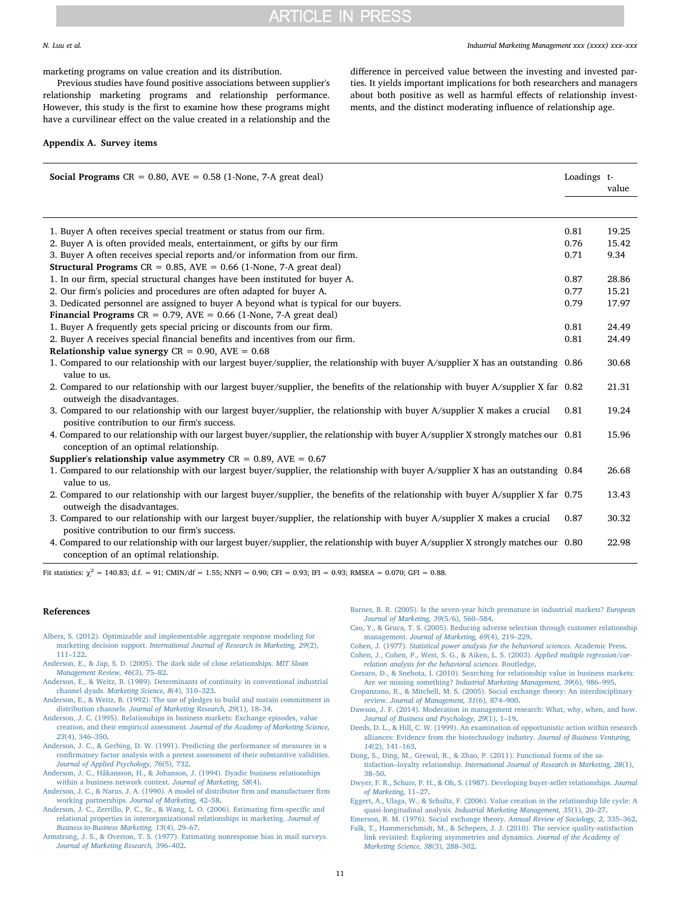N. Luu et al. *Industrial Marketing Management xxx (xxxx) xxx–xxx*

marketing programs on value creation and its distribution.

Previous studies have found positive associations between supplier's relationship marketing programs and relationship performance. However, this study is the first to examine how these programs might have a curvilinear effect on the value created in a relationship and the

#### Appendix A. Survey items

difference in perceived value between the investing and invested parties. It yields important implications for both researchers and managers about both positive as well as harmful effects of relationship investments, and the distinct moderating influence of relationship age.

| Social Programs $CR = 0.80$ , $AVE = 0.58$ (1-None, 7-A great deal)                                                                                                           | Loadings t- |       |
|-------------------------------------------------------------------------------------------------------------------------------------------------------------------------------|-------------|-------|
|                                                                                                                                                                               |             | value |
|                                                                                                                                                                               |             |       |
| 1. Buyer A often receives special treatment or status from our firm.                                                                                                          | 0.81        | 19.25 |
| 2. Buyer A is often provided meals, entertainment, or gifts by our firm                                                                                                       | 0.76        | 15.42 |
| 3. Buyer A often receives special reports and/or information from our firm.                                                                                                   | 0.71        | 9.34  |
| <b>Structural Programs</b> $CR = 0.85$ , $AVE = 0.66$ (1-None, 7-A great deal)                                                                                                |             |       |
| 1. In our firm, special structural changes have been instituted for buyer A.                                                                                                  | 0.87        | 28.86 |
| 2. Our firm's policies and procedures are often adapted for buyer A.                                                                                                          | 0.77        | 15.21 |
| 3. Dedicated personnel are assigned to buyer A beyond what is typical for our buyers.                                                                                         | 0.79        | 17.97 |
| <b>Financial Programs</b> $CR = 0.79$ , $AVE = 0.66$ (1-None, 7-A great deal)                                                                                                 |             |       |
| 1. Buyer A frequently gets special pricing or discounts from our firm.                                                                                                        | 0.81        | 24.49 |
| 2. Buyer A receives special financial benefits and incentives from our firm.                                                                                                  | 0.81        | 24.49 |
| Relationship value synergy $CR = 0.90$ , $AVE = 0.68$                                                                                                                         |             |       |
| 1. Compared to our relationship with our largest buyer/supplier, the relationship with buyer A/supplier X has an outstanding 0.86<br>value to us.                             |             | 30.68 |
| 2. Compared to our relationship with our largest buyer/supplier, the benefits of the relationship with buyer A/supplier X far 0.82<br>outweigh the disadvantages.             |             | 21.31 |
| 3. Compared to our relationship with our largest buyer/supplier, the relationship with buyer A/supplier X makes a crucial<br>positive contribution to our firm's success.     | 0.81        | 19.24 |
| 4. Compared to our relationship with our largest buyer/supplier, the relationship with buyer A/supplier X strongly matches our 0.81<br>conception of an optimal relationship. |             | 15.96 |
| Supplier's relationship value asymmetry $CR = 0.89$ , $AVE = 0.67$                                                                                                            |             |       |
| 1. Compared to our relationship with our largest buyer/supplier, the relationship with buyer A/supplier X has an outstanding 0.84<br>value to us.                             |             | 26.68 |
| 2. Compared to our relationship with our largest buyer/supplier, the benefits of the relationship with buyer A/supplier X far 0.75<br>outweigh the disadvantages.             |             | 13.43 |
| 3. Compared to our relationship with our largest buyer/supplier, the relationship with buyer A/supplier X makes a crucial<br>positive contribution to our firm's success.     | 0.87        | 30.32 |
| 4. Compared to our relationship with our largest buyer/supplier, the relationship with buyer A/supplier X strongly matches our 0.80<br>conception of an optimal relationship. |             | 22.98 |

Fit statistics:  $\gamma^2 = 140.83$ ; d.f. = 91; CMIN/df = 1.55; NNFI = 0.90; CFI = 0.93; IFI = 0.93; RMSEA = 0.070; GFI = 0.88.

#### References

- <span id="page-10-19"></span>[Albers, S. \(2012\). Optimizable and implementable aggregate response modeling for](http://refhub.elsevier.com/S0019-8501(17)30789-7/rf1005) marketing decision support. [International Journal of Research in Marketing, 29](http://refhub.elsevier.com/S0019-8501(17)30789-7/rf1005)(2), 111–[122](http://refhub.elsevier.com/S0019-8501(17)30789-7/rf1005).
- <span id="page-10-0"></span>[Anderson, E., & Jap, S. D. \(2005\). The dark side of close relationships.](http://refhub.elsevier.com/S0019-8501(17)30789-7/rf0005) MIT Sloan [Management Review, 46](http://refhub.elsevier.com/S0019-8501(17)30789-7/rf0005)(3), 75–82.
- <span id="page-10-1"></span>[Anderson, E., & Weitz, B. \(1989\). Determinants of continuity in conventional industrial](http://refhub.elsevier.com/S0019-8501(17)30789-7/rf0010) channel dyads. [Marketing Science, 8](http://refhub.elsevier.com/S0019-8501(17)30789-7/rf0010)(4), 310–323.
- <span id="page-10-4"></span>[Anderson, E., & Weitz, B. \(1992\). The use of pledges to build and sustain commitment in](http://refhub.elsevier.com/S0019-8501(17)30789-7/rf0015) distribution channels. [Journal of Marketing Research, 29](http://refhub.elsevier.com/S0019-8501(17)30789-7/rf0015)(1), 18–34.
- <span id="page-10-6"></span>[Anderson, J. C. \(1995\). Relationships in business markets: Exchange episodes, value](http://refhub.elsevier.com/S0019-8501(17)30789-7/rf0020) creation, and their empirical assessment. [Journal of the Academy of Marketing Science,](http://refhub.elsevier.com/S0019-8501(17)30789-7/rf0020) 23[\(4\), 346](http://refhub.elsevier.com/S0019-8501(17)30789-7/rf0020)–350.
- <span id="page-10-12"></span>[Anderson, J. C., & Gerbing, D. W. \(1991\). Predicting the performance of measures in a](http://refhub.elsevier.com/S0019-8501(17)30789-7/rf0025) confi[rmatory factor analysis with a pretest assessment of their substantive validities.](http://refhub.elsevier.com/S0019-8501(17)30789-7/rf0025) [Journal of Applied Psychology, 76](http://refhub.elsevier.com/S0019-8501(17)30789-7/rf0025)(5), 732.
- <span id="page-10-7"></span>[Anderson, J. C., Håkansson, H., & Johanson, J. \(1994\). Dyadic business relationships](http://refhub.elsevier.com/S0019-8501(17)30789-7/rf0030) [within a business network context.](http://refhub.elsevier.com/S0019-8501(17)30789-7/rf0030) Journal of Marketing, 58(4).
- <span id="page-10-11"></span>[Anderson, J. C., & Narus, J. A. \(1990\). A model of distributor](http://refhub.elsevier.com/S0019-8501(17)30789-7/rf0035) firm and manufacturer firm [working partnerships.](http://refhub.elsevier.com/S0019-8501(17)30789-7/rf0035) Journal of Marketing, 42–58.
- <span id="page-10-21"></span>[Anderson, J. C., Zerrillo, P. C., Sr., & Wang, L. O. \(2006\). Estimating](http://refhub.elsevier.com/S0019-8501(17)30789-7/rf0040) firm-specific and [relational properties in interorganizational relationships in marketing.](http://refhub.elsevier.com/S0019-8501(17)30789-7/rf0040) Journal of [Business-to-Business Marketing, 13](http://refhub.elsevier.com/S0019-8501(17)30789-7/rf0040)(4), 29–67.
- <span id="page-10-13"></span>[Armstrong, J. S., & Overton, T. S. \(1977\). Estimating nonresponse bias in mail surveys.](http://refhub.elsevier.com/S0019-8501(17)30789-7/rf0045) [Journal of Marketing Research,](http://refhub.elsevier.com/S0019-8501(17)30789-7/rf0045) 396–402.
- <span id="page-10-2"></span>[Barnes, B. R. \(2005\). Is the seven-year hitch premature in industrial markets?](http://refhub.elsevier.com/S0019-8501(17)30789-7/rf0050) European [Journal of Marketing, 39](http://refhub.elsevier.com/S0019-8501(17)30789-7/rf0050)(5/6), 560–584.
- <span id="page-10-9"></span>[Cao, Y., & Gruca, T. S. \(2005\). Reducing adverse selection through customer relationship](http://refhub.elsevier.com/S0019-8501(17)30789-7/rf0055) management. [Journal of Marketing, 69](http://refhub.elsevier.com/S0019-8501(17)30789-7/rf0055)(4), 219–229.
- <span id="page-10-16"></span>Cohen, J. (1977). [Statistical power analysis for the behavioral sciences.](http://refhub.elsevier.com/S0019-8501(17)30789-7/rf0060) Academic Press.
- <span id="page-10-15"></span>[Cohen, J., Cohen, P., West, S. G., & Aiken, L. S. \(2003\).](http://refhub.elsevier.com/S0019-8501(17)30789-7/rf0065) Applied multiple regression/cor[relation analysis for the behavioral sciences.](http://refhub.elsevier.com/S0019-8501(17)30789-7/rf0065) Routledge.
- <span id="page-10-3"></span>[Corsaro, D., & Snehota, I. \(2010\). Searching for relationship value in business markets:](http://refhub.elsevier.com/S0019-8501(17)30789-7/rf0070) Are we missing something? [Industrial Marketing Management, 39](http://refhub.elsevier.com/S0019-8501(17)30789-7/rf0070)(6), 986–995.
- <span id="page-10-8"></span>[Cropanzano, R., & Mitchell, M. S. \(2005\). Social exchange theory: An interdisciplinary](http://refhub.elsevier.com/S0019-8501(17)30789-7/rf0075) review. [Journal of Management, 31](http://refhub.elsevier.com/S0019-8501(17)30789-7/rf0075)(6), 874–900.
- <span id="page-10-17"></span>[Dawson, J. F. \(2014\). Moderation in management research: What, why, when, and how.](http://refhub.elsevier.com/S0019-8501(17)30789-7/rf0080) [Journal of Business and Psychology, 29](http://refhub.elsevier.com/S0019-8501(17)30789-7/rf0080)(1), 1–19.
- <span id="page-10-10"></span>[Deeds, D. L., & Hill, C. W. \(1999\). An examination of opportunistic action within research](http://refhub.elsevier.com/S0019-8501(17)30789-7/rf0085) [alliances: Evidence from the biotechnology industry.](http://refhub.elsevier.com/S0019-8501(17)30789-7/rf0085) Journal of Business Venturing, 14[\(2\), 141](http://refhub.elsevier.com/S0019-8501(17)30789-7/rf0085)–163.
- <span id="page-10-18"></span>[Dong, S., Ding, M., Grewal, R., & Zhao, P. \(2011\). Functional forms of the sa](http://refhub.elsevier.com/S0019-8501(17)30789-7/rf0090)tisfaction–loyalty relationship. [International Journal of Research in Marketing, 28](http://refhub.elsevier.com/S0019-8501(17)30789-7/rf0090)(1), 38–[50](http://refhub.elsevier.com/S0019-8501(17)30789-7/rf0090).
- <span id="page-10-20"></span>[Dwyer, F. R., Schurr, P. H., & Oh, S. \(1987\). Developing buyer-seller relationships.](http://refhub.elsevier.com/S0019-8501(17)30789-7/rf0095) Journal [of Marketing,](http://refhub.elsevier.com/S0019-8501(17)30789-7/rf0095) 11–27.
- [Eggert, A., Ulaga, W., & Schultz, F. \(2006\). Value creation in the relationship life cycle: A](http://refhub.elsevier.com/S0019-8501(17)30789-7/rf0100) quasi-longitudinal analysis. [Industrial Marketing Management, 35](http://refhub.elsevier.com/S0019-8501(17)30789-7/rf0100)(1), 20–27.
- <span id="page-10-14"></span><span id="page-10-5"></span>[Emerson, R. M. \(1976\). Social exchange theory.](http://refhub.elsevier.com/S0019-8501(17)30789-7/rf0105) Annual Review of Sociology, 2, 335–362. [Falk, T., Hammerschmidt, M., & Schepers, J. J. \(2010\). The service quality-satisfaction](http://refhub.elsevier.com/S0019-8501(17)30789-7/rf0110) [link revisited: Exploring asymmetries and dynamics.](http://refhub.elsevier.com/S0019-8501(17)30789-7/rf0110) Journal of the Academy of [Marketing Science, 38](http://refhub.elsevier.com/S0019-8501(17)30789-7/rf0110)(3), 288–302.